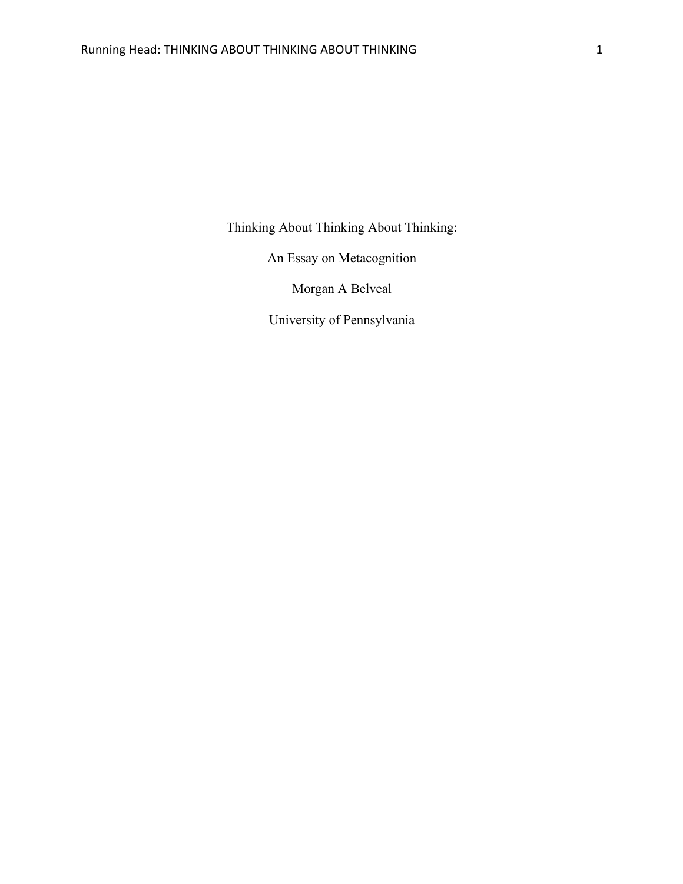Thinking About Thinking About Thinking:

An Essay on Metacognition

Morgan A Belveal

University of Pennsylvania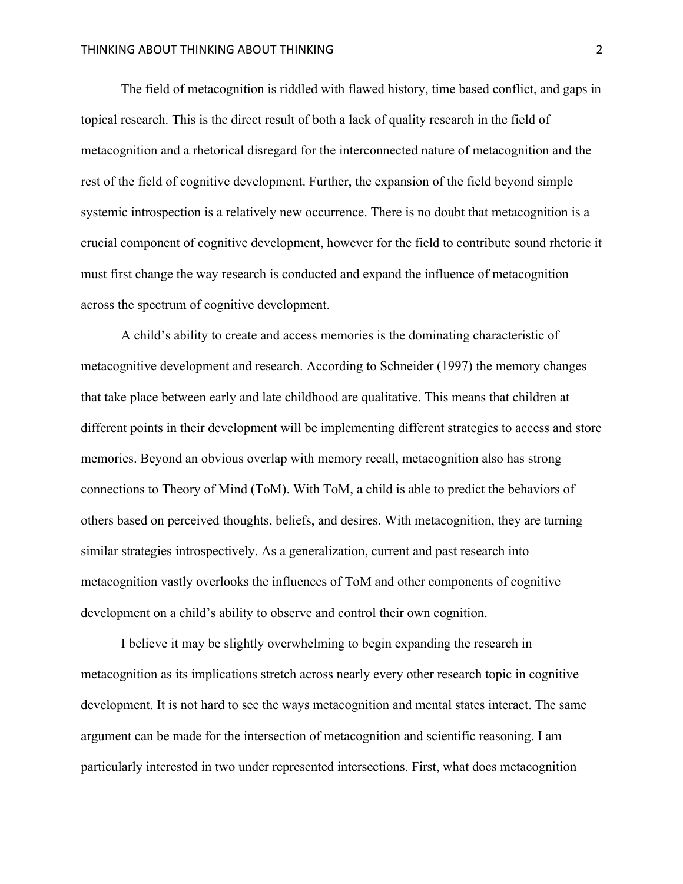The field of metacognition is riddled with flawed history, time based conflict, and gaps in topical research. This is the direct result of both a lack of quality research in the field of metacognition and a rhetorical disregard for the interconnected nature of metacognition and the rest of the field of cognitive development. Further, the expansion of the field beyond simple systemic introspection is a relatively new occurrence. There is no doubt that metacognition is a crucial component of cognitive development, however for the field to contribute sound rhetoric it must first change the way research is conducted and expand the influence of metacognition across the spectrum of cognitive development.

A child's ability to create and access memories is the dominating characteristic of metacognitive development and research. According to Schneider (1997) the memory changes that take place between early and late childhood are qualitative. This means that children at different points in their development will be implementing different strategies to access and store memories. Beyond an obvious overlap with memory recall, metacognition also has strong connections to Theory of Mind (ToM). With ToM, a child is able to predict the behaviors of others based on perceived thoughts, beliefs, and desires. With metacognition, they are turning similar strategies introspectively. As a generalization, current and past research into metacognition vastly overlooks the influences of ToM and other components of cognitive development on a child's ability to observe and control their own cognition.

I believe it may be slightly overwhelming to begin expanding the research in metacognition as its implications stretch across nearly every other research topic in cognitive development. It is not hard to see the ways metacognition and mental states interact. The same argument can be made for the intersection of metacognition and scientific reasoning. I am particularly interested in two under represented intersections. First, what does metacognition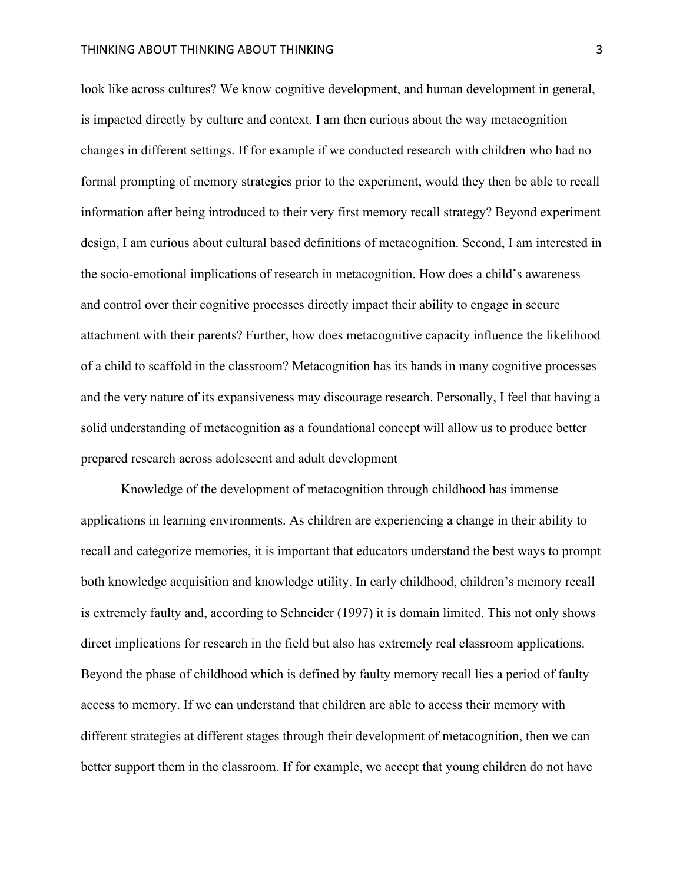## THINKING ABOUT THINKING ABOUT THINKING 3

look like across cultures? We know cognitive development, and human development in general, is impacted directly by culture and context. I am then curious about the way metacognition changes in different settings. If for example if we conducted research with children who had no formal prompting of memory strategies prior to the experiment, would they then be able to recall information after being introduced to their very first memory recall strategy? Beyond experiment design, I am curious about cultural based definitions of metacognition. Second, I am interested in the socio-emotional implications of research in metacognition. How does a child's awareness and control over their cognitive processes directly impact their ability to engage in secure attachment with their parents? Further, how does metacognitive capacity influence the likelihood of a child to scaffold in the classroom? Metacognition has its hands in many cognitive processes and the very nature of its expansiveness may discourage research. Personally, I feel that having a solid understanding of metacognition as a foundational concept will allow us to produce better prepared research across adolescent and adult development

Knowledge of the development of metacognition through childhood has immense applications in learning environments. As children are experiencing a change in their ability to recall and categorize memories, it is important that educators understand the best ways to prompt both knowledge acquisition and knowledge utility. In early childhood, children's memory recall is extremely faulty and, according to Schneider (1997) it is domain limited. This not only shows direct implications for research in the field but also has extremely real classroom applications. Beyond the phase of childhood which is defined by faulty memory recall lies a period of faulty access to memory. If we can understand that children are able to access their memory with different strategies at different stages through their development of metacognition, then we can better support them in the classroom. If for example, we accept that young children do not have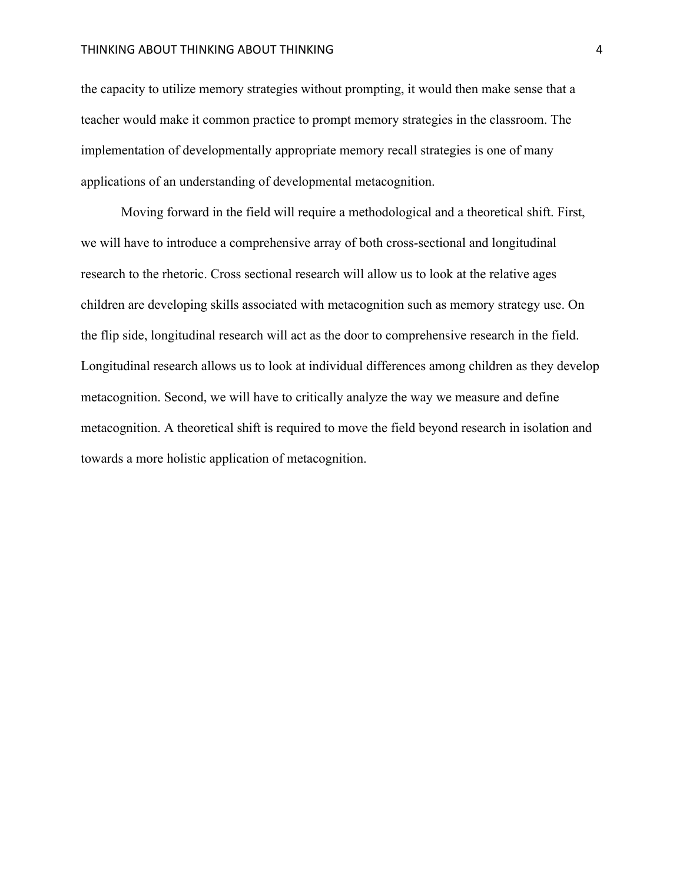## THINKING ABOUT THINKING ABOUT THINKING 4

the capacity to utilize memory strategies without prompting, it would then make sense that a teacher would make it common practice to prompt memory strategies in the classroom. The implementation of developmentally appropriate memory recall strategies is one of many applications of an understanding of developmental metacognition.

Moving forward in the field will require a methodological and a theoretical shift. First, we will have to introduce a comprehensive array of both cross-sectional and longitudinal research to the rhetoric. Cross sectional research will allow us to look at the relative ages children are developing skills associated with metacognition such as memory strategy use. On the flip side, longitudinal research will act as the door to comprehensive research in the field. Longitudinal research allows us to look at individual differences among children as they develop metacognition. Second, we will have to critically analyze the way we measure and define metacognition. A theoretical shift is required to move the field beyond research in isolation and towards a more holistic application of metacognition.